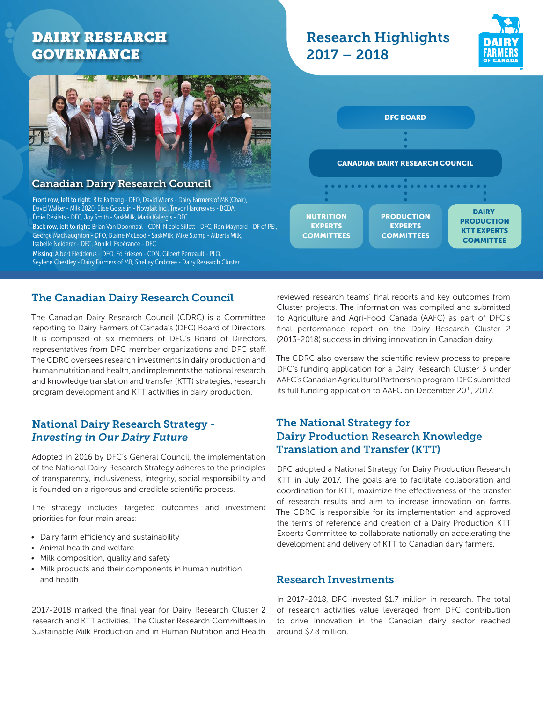# DAIRY RESEARCH GOVERNANCE



## Canadian Dairy Research Council

Front row, left to right: Bita Farhang - DFO, David Wiens - Dairy Farmers of MB (Chair), David Walker - Milk 2020, Élise Gosselin - Novalait Inc., Trevor Hargreaves - BCDA, Émie Désilets - DFC, Joy Smith - SaskMilk, Maria Kalergis - DFC Back row, left to right: Brian Van Doormaal - CDN, Nicole Sillett - DFC, Ron Maynard - DF of PEI, George MacNaughton - DFO, Blaine McLeod - SaskMilk, Mike Slomp - Alberta Milk, Isabelle Neiderer - DFC, Annik L'Espérance - DFC Missing: Albert Fledderus - DFO, Ed Friesen - CDN, Gilbert Perreault - PLQ, Seylene Chestley - Dairy Farmers of MB, Shelley Crabtree - Dairy Research Cluster

## The Canadian Dairy Research Council

The Canadian Dairy Research Council (CDRC) is a Committee reporting to Dairy Farmers of Canada's (DFC) Board of Directors. It is comprised of six members of DFC's Board of Directors, representatives from DFC member organizations and DFC staff. The CDRC oversees research investments in dairy production and human nutrition and health, and implements the national research and knowledge translation and transfer (KTT) strategies, research program development and KTT activities in dairy production.

## National Dairy Research Strategy - *Investing in Our Dairy Future*

Adopted in 2016 by DFC's General Council, the implementation of the National Dairy Research Strategy adheres to the principles of transparency, inclusiveness, integrity, social responsibility and is founded on a rigorous and credible scientific process.

The strategy includes targeted outcomes and investment priorities for four main areas:

- Dairy farm efficiency and sustainability
- Animal health and welfare
- Milk composition, quality and safety
- Milk products and their components in human nutrition and health

2017-2018 marked the final year for Dairy Research Cluster 2 research and KTT activities. The Cluster Research Committees in Sustainable Milk Production and in Human Nutrition and Health

#### reviewed research teams' final reports and key outcomes from Cluster projects. The information was compiled and submitted to Agriculture and Agri-Food Canada (AAFC) as part of DFC's final performance report on the Dairy Research Cluster 2 (2013-2018) success in driving innovation in Canadian dairy.

The CDRC also oversaw the scientific review process to prepare DFC's funding application for a Dairy Research Cluster 3 under AAFC's Canadian Agricultural Partnership program. DFC submitted its full funding application to AAFC on December 20<sup>th</sup>, 2017.

# The National Strategy for Dairy Production Research Knowledge Translation and Transfer (KTT)

DFC adopted a National Strategy for Dairy Production Research KTT in July 2017. The goals are to facilitate collaboration and coordination for KTT, maximize the effectiveness of the transfer of research results and aim to increase innovation on farms. The CDRC is responsible for its implementation and approved the terms of reference and creation of a Dairy Production KTT Experts Committee to collaborate nationally on accelerating the development and delivery of KTT to Canadian dairy farmers.

### Research Investments

In 2017-2018, DFC invested \$1.7 million in research. The total of research activities value leveraged from DFC contribution to drive innovation in the Canadian dairy sector reached around \$7.8 million.





Research Highlights

2017 – 2018